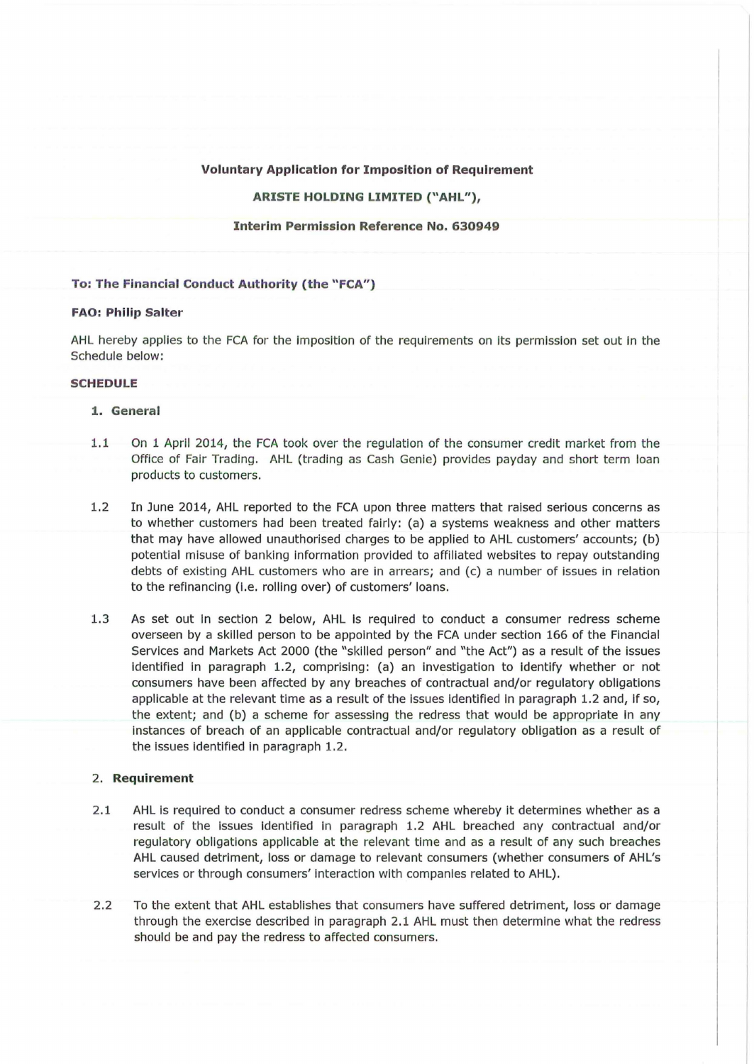#### **Voluntary Application for Imposition of Requirement**

## **ARISTE HOLDING LIMITED ("AHL"),**

**Interim Permission Reference No. 630949** 

#### **To: The Financial Conduct Authority {the "FCA")**

### **FAO: Philip Salter**

AHL hereby applies to the FCA for the Imposition of the requirements on Its permission set out in the Schedule below:

# **SCHEDULE**

# **1. General**

- 1.1 On 1 April 2014, the FCA took over the regulation of the consumer credit market from the Office of Fair Trading. AHL (trading as Cash Genie) provides payday and short term loan products to customers.
- 1.2 In June 2014, AHL reported to the FCA upon three matters that raised serious concerns as to whether customers had been treated fairly: (a) a systems weakness and other matters that may have allowed unauthorised charges to be applied to AHL customers' accounts; (b) potential misuse of banking information provided to affiliated websites to repay outstanding debts of existing AHL customers who are in arrears; and (c) a number of issues in relation to the refinancing (i.e. rolling over) of customers' loans.
- 1.3 As set out In section 2 below, AHL Is required to conduct a consumer redress scheme overseen by a skilled person to be appointed by the FCA under section 166 of the Financial Services and Markets Act 2000 (the "skilled person" and "the Act") as a result of the issues identified in paragraph 1.2, comprising: (a) an investigation to identify whether or not consumers have been affected by any breaches of contractual and/or regulatory obligations applicable at the relevant time as a result of the issues identified in paragraph 1.2 and, if so, the extent; and (b) a scheme for assessing the redress that would be appropriate in any Instances of breach of an applicable contractual and/or regulatory obligation as a result of the issues identified in paragraph 1.2.

## 2. **Requirement**

- 2.1 AHL is required to conduct a consumer redress scheme whereby it determines whether as a result of the Issues identified in paragraph 1.2 AHL breached any contractual and/or regulatory obligations applicable at the relevant time and as a result of any such breaches AHL caused detriment, loss or damage to relevant consumers (whether consumers of AHL's services or through consumers' interaction with companies related to AHL).
- 2.2 To the extent that AHL establishes that consumers have suffered detriment, loss or damage through the exercise described In paragraph 2.1 AHL must then determine what the redress should be and pay the redress to affected consumers.